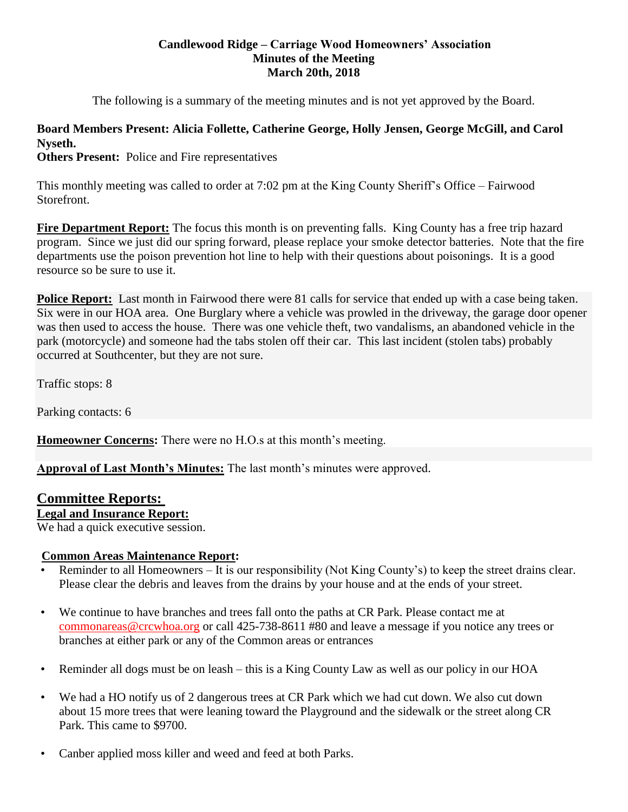#### **Candlewood Ridge – Carriage Wood Homeowners' Association Minutes of the Meeting March 20th, 2018**

The following is a summary of the meeting minutes and is not yet approved by the Board.

# **Board Members Present: Alicia Follette, Catherine George, Holly Jensen, George McGill, and Carol Nyseth.**

**Others Present:** Police and Fire representatives

This monthly meeting was called to order at 7:02 pm at the King County Sheriff's Office – Fairwood Storefront.

**Fire Department Report:** The focus this month is on preventing falls. King County has a free trip hazard program. Since we just did our spring forward, please replace your smoke detector batteries. Note that the fire departments use the poison prevention hot line to help with their questions about poisonings. It is a good resource so be sure to use it.

**Police Report:** Last month in Fairwood there were 81 calls for service that ended up with a case being taken. Six were in our HOA area. One Burglary where a vehicle was prowled in the driveway, the garage door opener was then used to access the house. There was one vehicle theft, two vandalisms, an abandoned vehicle in the park (motorcycle) and someone had the tabs stolen off their car. This last incident (stolen tabs) probably occurred at Southcenter, but they are not sure.

Traffic stops: 8

Parking contacts: 6

**Homeowner Concerns:** There were no H.O.s at this month's meeting.

**Approval of Last Month's Minutes:** The last month's minutes were approved.

## **Committee Reports:**

## **Legal and Insurance Report:**

We had a quick executive session.

## **Common Areas Maintenance Report:**

- Reminder to all Homeowners It is our responsibility (Not King County's) to keep the street drains clear. Please clear the debris and leaves from the drains by your house and at the ends of your street.
- We continue to have branches and trees fall onto the paths at CR Park. Please contact me at [commonareas@crcwhoa.org](mailto:commonareas@crcwhoa.org) or call 425-738-8611 #80 and leave a message if you notice any trees or branches at either park or any of the Common areas or entrances
- Reminder all dogs must be on leash this is a King County Law as well as our policy in our HOA
- We had a HO notify us of 2 dangerous trees at CR Park which we had cut down. We also cut down about 15 more trees that were leaning toward the Playground and the sidewalk or the street along CR Park. This came to \$9700.
- Canber applied moss killer and weed and feed at both Parks.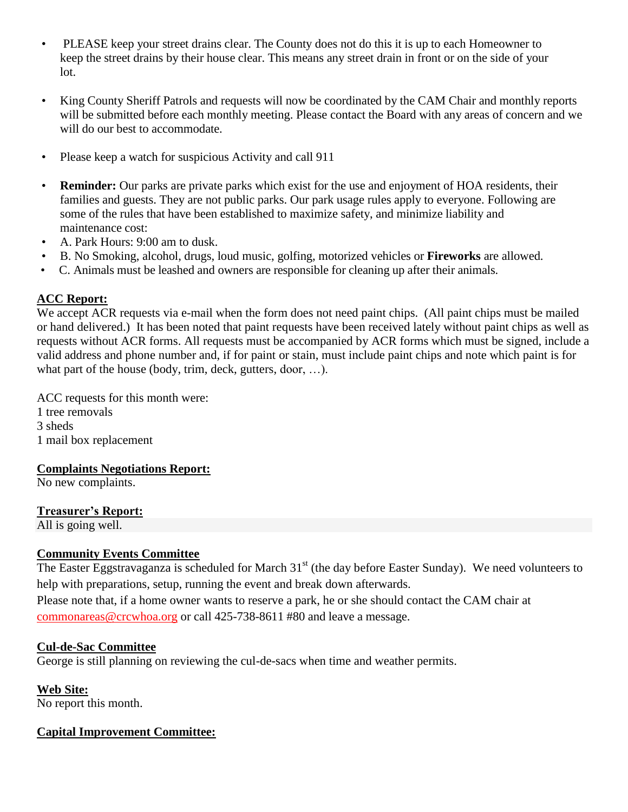- PLEASE keep your street drains clear. The County does not do this it is up to each Homeowner to keep the street drains by their house clear. This means any street drain in front or on the side of your lot.
- King County Sheriff Patrols and requests will now be coordinated by the CAM Chair and monthly reports will be submitted before each monthly meeting. Please contact the Board with any areas of concern and we will do our best to accommodate.
- Please keep a watch for suspicious Activity and call 911
- **Reminder:** Our parks are private parks which exist for the use and enjoyment of HOA residents, their families and guests. They are not public parks. Our park usage rules apply to everyone. Following are some of the rules that have been established to maximize safety, and minimize liability and maintenance cost:
- A. Park Hours: 9:00 am to dusk.
- B. No Smoking, alcohol, drugs, loud music, golfing, motorized vehicles or **Fireworks** are allowed.
- C. Animals must be leashed and owners are responsible for cleaning up after their animals.

## **ACC Report:**

We accept ACR requests via e-mail when the form does not need paint chips. (All paint chips must be mailed or hand delivered.) It has been noted that paint requests have been received lately without paint chips as well as requests without ACR forms. All requests must be accompanied by ACR forms which must be signed, include a valid address and phone number and, if for paint or stain, must include paint chips and note which paint is for what part of the house (body, trim, deck, gutters, door, ...).

ACC requests for this month were: 1 tree removals 3 sheds

1 mail box replacement

## **Complaints Negotiations Report:**

No new complaints.

## **Treasurer's Report:**

All is going well.

## **Community Events Committee**

The Easter Eggstravaganza is scheduled for March 31<sup>st</sup> (the day before Easter Sunday). We need volunteers to help with preparations, setup, running the event and break down afterwards.

Please note that, if a home owner wants to reserve a park, he or she should contact the CAM chair at [commonareas@crcwhoa.org](mailto:commonareas@crcwhoa.org) or call 425-738-8611 #80 and leave a message.

## **Cul-de-Sac Committee**

George is still planning on reviewing the cul-de-sacs when time and weather permits.

**Web Site:**

No report this month.

## **Capital Improvement Committee:**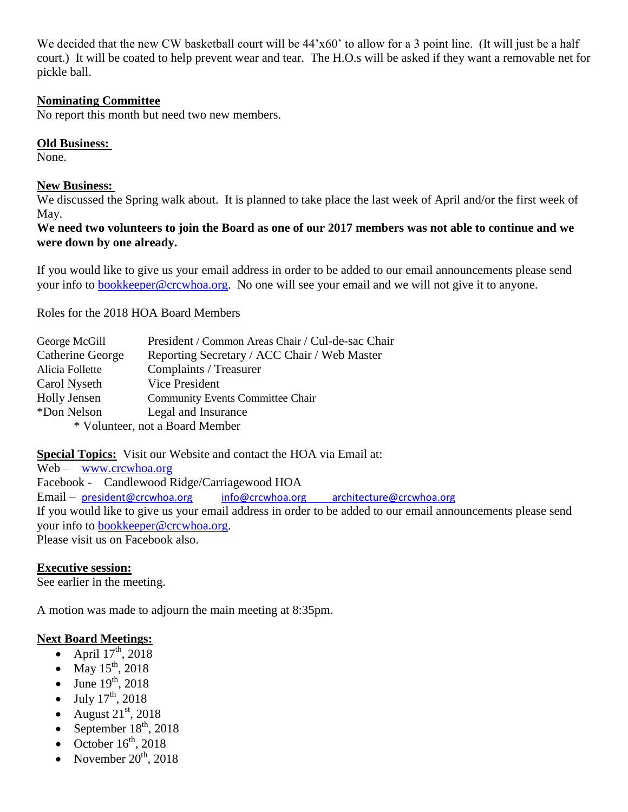We decided that the new CW basketball court will be  $44'x60'$  to allow for a 3 point line. (It will just be a half court.) It will be coated to help prevent wear and tear. The H.O.s will be asked if they want a removable net for pickle ball.

#### **Nominating Committee**

No report this month but need two new members.

#### **Old Business:**

None.

#### **New Business:**

We discussed the Spring walk about. It is planned to take place the last week of April and/or the first week of May.

**We need two volunteers to join the Board as one of our 2017 members was not able to continue and we were down by one already.**

If you would like to give us your email address in order to be added to our email announcements please send your info to [bookkeeper@crcwhoa.org.](mailto:bookkeeper@crcwhoa.org) No one will see your email and we will not give it to anyone.

Roles for the 2018 HOA Board Members

| George McGill    | President / Common Areas Chair / Cul-de-sac Chair |
|------------------|---------------------------------------------------|
| Catherine George | Reporting Secretary / ACC Chair / Web Master      |
| Alicia Follette  | Complaints / Treasurer                            |
| Carol Nyseth     | Vice President                                    |
| Holly Jensen     | <b>Community Events Committee Chair</b>           |
| *Don Nelson      | Legal and Insurance                               |
|                  | * Volunteer, not a Board Member                   |

**Special Topics:** Visit our Website and contact the HOA via Email at:

Web – [www.crcwhoa.org](http://www.crcwhoa.org/)

Facebook - Candlewood Ridge/Carriagewood HOA

Email – [president@crcwhoa.org](mailto:president@crcwhoa.org) [info@crcwhoa.org](mailto:info@crcwhoa.org) [architecture@crcwhoa.org](mailto:architecture@crcwhoa.org)

If you would like to give us your email address in order to be added to our email announcements please send your info to [bookkeeper@crcwhoa.org.](mailto:bookkeeper@crcwhoa.org)

Please visit us on Facebook also.

#### **Executive session:**

See earlier in the meeting.

A motion was made to adjourn the main meeting at 8:35pm.

#### **Next Board Meetings:**

- April  $17<sup>th</sup>$ , 2018
- May  $15^{th}$ , 2018
- June  $19^{th}$ , 2018
- July  $17^{th}$ , 2018
- August  $21<sup>st</sup>$ , 2018
- September  $18<sup>th</sup>$ , 2018
- October  $16^{th}$ , 2018
- November  $20<sup>th</sup>$ , 2018